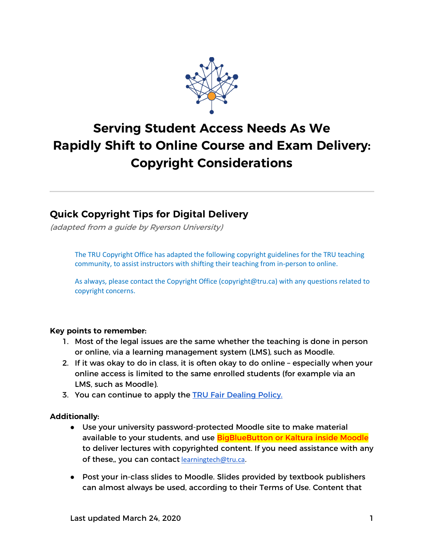

# **Serving Student Access Needs As We Rapidly Shift to Online Course and Exam Delivery: Copyright Considerations**

### **Quick Copyright Tips for Digital Delivery**

(adapted from a guide by Ryerson University)

The TRU Copyright Office has adapted the following copyright guidelines for the TRU teaching community, to assist instructors with shifting their teaching from in-person to online.

As always, please contact the Copyright Office (copyright@tru.ca) with any questions related to copyright concerns.

#### **Key points to remember:**

- 1. Most of the legal issues are the same whether the teaching is done in person or online, via a learning management system (LMS), such as Moodle.
- 2. If it was okay to do in class, it is often okay to do online especially when your online access is limited to the same enrolled students (for example via an LMS, such as Moodle).
- 3. You can continue to apply the TRU Fair Dealing Policy.

#### **Additionally:**

- Use your university password-protected Moodle site to make material available to your students, and use BigBlueButton or Kaltura inside Moodle to deliver lectures with copyrighted content. If you need assistance with any of these,, you can contact learningtech@tru.ca.
- Post your in-class slides to Moodle. Slides provided by textbook publishers can almost always be used, according to their Terms of Use. Content that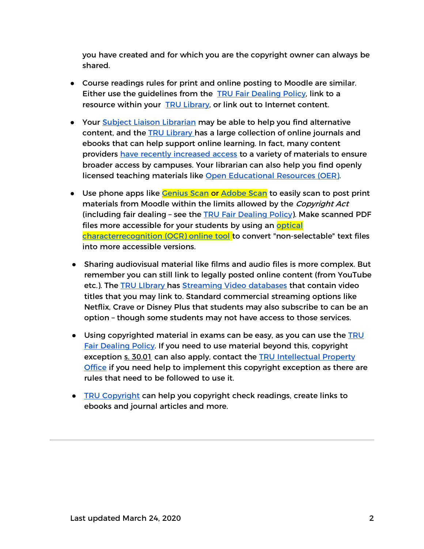you have created and for which you are the copyright owner can always be shared.

- Course readings rules for print and online posting to Moodle are similar. Either use the guidelines from the TRU Fair Dealing Policy, link to a resource within your TRU Library, or link out to Internet content.
- Your Subject Liaison Librarian may be able to help you find alternative content, and the TRU Library has a large collection of online journals and ebooks that can help support online learning. In fact, many content providers have recently increased access to a variety of materials to ensure broader access by campuses. Your librarian can also help you find openly licensed teaching materials like Open Educational Resources (OER).
- Use phone apps like Cenius Scan or Adobe Scan to easily scan to post print materials from Moodle within the limits allowed by the *Copyright Act* (including fair dealing – see the TRU Fair Dealing Policy). Make scanned PDF files more accessible for your students by using an optical characterrecognition (OCR) online tool to convert "non-selectable" text files into more accessible versions.
- Sharing audiovisual material like films and audio files is more complex. But remember you can still link to legally posted online content (from YouTube etc.). The TRU LIbrary has Streaming Video databases that contain video titles that you may link to. Standard commercial streaming options like Netflix, Crave or Disney Plus that students may also subscribe to can be an option – though some students may not have access to those services.
- Using copyrighted material in exams can be easy, as you can use the TRU Fair Dealing Policy. If you need to use material beyond this, copyright exception s. 30.01 can also apply, contact the TRU Intellectual Property Office if you need help to implement this copyright exception as there are rules that need to be followed to use it.
- TRU Copyright can help you copyright check readings, create links to ebooks and journal articles and more.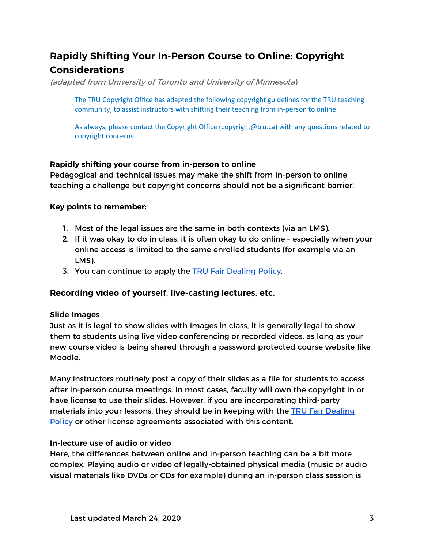## **Rapidly Shifting Your In-Person Course to Online: Copyright Considerations**

(adapted from University of Toronto and University of Minnesota)

The TRU Copyright Office has adapted the following copyright guidelines for the TRU teaching community, to assist instructors with shifting their teaching from in-person to online.

As always, please contact the Copyright Office (copyright@tru.ca) with any questions related to copyright concerns.

#### **Rapidly shifting your course from in-person to online**

Pedagogical and technical issues may make the shift from in-person to online teaching a challenge but copyright concerns should not be a significant barrier!

#### **Key points to remember:**

- 1. Most of the legal issues are the same in both contexts (via an LMS).
- 2. If it was okay to do in class, it is often okay to do online especially when your online access is limited to the same enrolled students (for example via an LMS).
- 3. You can continue to apply the TRU Fair Dealing Policy.

#### **Recording video of yourself, live-casting lectures, etc.**

#### **Slide Images**

Just as it is legal to show slides with images in class, it is generally legal to show them to students using live video conferencing or recorded videos, as long as your new course video is being shared through a password protected course website like Moodle.

Many instructors routinely post a copy of their slides as a file for students to access after in-person course meetings. In most cases, faculty will own the copyright in or have license to use their slides. However, if you are incorporating third-party materials into your lessons, they should be in keeping with the TRU Fair Dealing Policy or other license agreements associated with this content.

#### **In-lecture use of audio or video**

Here, the differences between online and in-person teaching can be a bit more complex. Playing audio or video of legally-obtained physical media (music or audio visual materials like DVDs or CDs for example) during an in-person class session is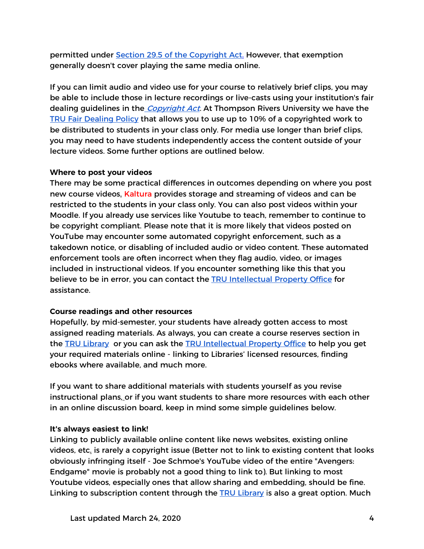permitted under Section 29.5 of the Copyright Act. However, that exemption generally doesn't cover playing the same media online.

If you can limit audio and video use for your course to relatively brief clips, you may be able to include those in lecture recordings or live-casts using your institution's fair dealing guidelines in the *Copyright Act.* At Thompson Rivers University we have the TRU Fair Dealing Policy that allows you to use up to 10% of a copyrighted work to be distributed to students in your class only. For media use longer than brief clips, you may need to have students independently access the content outside of your lecture videos. Some further options are outlined below.

#### **Where to post your videos**

There may be some practical differences in outcomes depending on where you post new course videos. Kaltura provides storage and streaming of videos and can be restricted to the students in your class only. You can also post videos within your Moodle. If you already use services like Youtube to teach, remember to continue to be copyright compliant. Please note that it is more likely that videos posted on YouTube may encounter some automated copyright enforcement, such as a takedown notice, or disabling of included audio or video content. These automated enforcement tools are often incorrect when they flag audio, video, or images included in instructional videos. If you encounter something like this that you believe to be in error, you can contact the TRU Intellectual Property Office for assistance.

#### **Course readings and other resources**

Hopefully, by mid-semester, your students have already gotten access to most assigned reading materials. As always, you can create a course reserves section in the TRU Library or you can ask the TRU Intellectual Property Office to help you get your required materials online - linking to Libraries' licensed resources, finding ebooks where available, and much more.

If you want to share additional materials with students yourself as you revise instructional plans, or if you want students to share more resources with each other in an online discussion board, keep in mind some simple guidelines below.

#### **It's always easiest to link!**

Linking to publicly available online content like news websites, existing online videos, etc. is rarely a copyright issue (Better not to link to existing content that looks obviously infringing itself - Joe Schmoe's YouTube video of the entire "Avengers: Endgame" movie is probably not a good thing to link to). But linking to most Youtube videos, especially ones that allow sharing and embedding, should be fine. Linking to subscription content through the TRU Library is also a great option. Much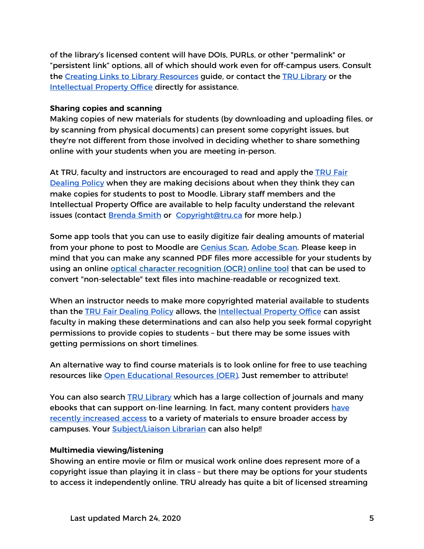of the library's licensed content will have DOIs, PURLs, or other "permalink" or "persistent link" options, all of which should work even for off-campus users. Consult the Creating Links to Library Resources guide, or contact the TRU Library or the Intellectual Property Office directly for assistance.

#### **Sharing copies and scanning**

Making copies of new materials for students (by downloading and uploading files, or by scanning from physical documents) can present some copyright issues, but they're not different from those involved in deciding whether to share something online with your students when you are meeting in-person.

At TRU, faculty and instructors are encouraged to read and apply the TRU Fair Dealing Policy when they are making decisions about when they think they can make copies for students to post to Moodle. Library staff members and the Intellectual Property Office are available to help faculty understand the relevant issues (contact Brenda Smith or Copyright@tru.ca for more help.)

Some app tools that you can use to easily digitize fair dealing amounts of material from your phone to post to Moodle are **Genius Scan, Adobe Scan. Please keep in** mind that you can make any scanned PDF files more accessible for your students by using an online optical character recognition (OCR) online tool that can be used to convert "non-selectable" text files into machine-readable or recognized text.

When an instructor needs to make more copyrighted material available to students than the TRU Fair Dealing Policy allows, the Intellectual Property Office can assist faculty in making these determinations and can also help you seek formal copyright permissions to provide copies to students – but there may be some issues with getting permissions on short timelines.

An alternative way to find course materials is to look online for free to use teaching resources like Open Educational Resources (OER). Just remember to attribute!

You can also search TRU Library which has a large collection of journals and many ebooks that can support on-line learning. In fact, many content providers have recently increased access to a variety of materials to ensure broader access by campuses. Your **Subject/Liaison Librarian can also help!!** 

#### **Multimedia viewing/listening**

Showing an entire movie or film or musical work online does represent more of a copyright issue than playing it in class – but there may be options for your students to access it independently online. TRU already has quite a bit of licensed streaming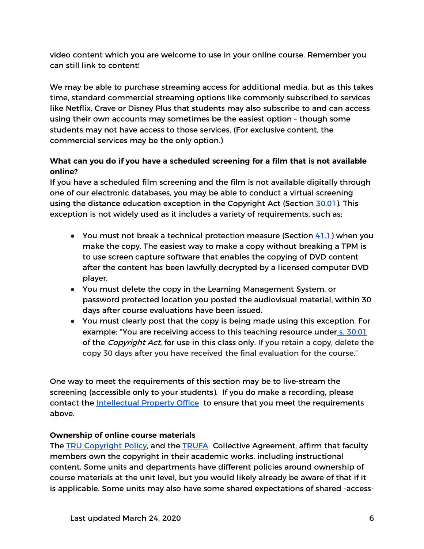video content which you are welcome to use in your online course. Remember you can still link to content!

We may be able to purchase streaming access for additional media, but as this takes time, standard commercial streaming options like commonly subscribed to services like Netflix, Crave or Disney Plus that students may also subscribe to and can access using their own accounts may sometimes be the easiest option – though some students may not have access to those services. (For exclusive content, the commercial services may be the only option.)

#### **What can you do if you have a scheduled screening for a film that is not available online?**

If you have a scheduled film screening and the film is not available digitally through one of our electronic databases, you may be able to conduct a virtual screening using the distance education exception in the Copyright Act (Section 30.01). This exception is not widely used as it includes a variety of requirements, such as:

- You must not break a technical protection measure (Section  $41.1$ ) when you make the copy. The easiest way to make a copy without breaking a TPM is to use screen capture software that enables the copying of DVD content after the content has been lawfully decrypted by a licensed computer DVD player.
- You must delete the copy in the Learning Management System, or password protected location you posted the audiovisual material, within 30 days after course evaluations have been issued.
- You must clearly post that the copy is being made using this exception. For example: "You are receiving access to this teaching resource under s. 30.01 of the *Copyright Act*, for use in this class only. If you retain a copy, delete the copy 30 days after you have received the final evaluation for the course."

One way to meet the requirements of this section may be to live-stream the screening (accessible only to your students). If you do make a recording, please contact the Intellectual Property Office to ensure that you meet the requirements above.

#### **Ownership of online course materials**

The TRU Copyright Policy, and the TRUFA Collective Agreement, affirm that faculty members own the copyright in their academic works, including instructional content. Some units and departments have different policies around ownership of course materials at the unit level, but you would likely already be aware of that if it is applicable. Some units may also have some shared expectations of shared -access